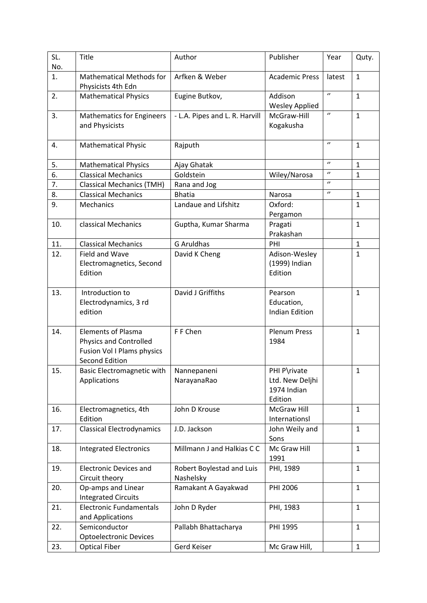| SL.<br>No. | <b>Title</b>                                                                                                             | Author                                 | Publisher                                                 | Year                  | Quty.        |
|------------|--------------------------------------------------------------------------------------------------------------------------|----------------------------------------|-----------------------------------------------------------|-----------------------|--------------|
| 1.         | <b>Mathematical Methods for</b><br>Physicists 4th Edn                                                                    | Arfken & Weber                         | <b>Academic Press</b>                                     | latest                | $\mathbf 1$  |
| 2.         | <b>Mathematical Physics</b>                                                                                              | Eugine Butkov,                         | Addison<br><b>Wesley Applied</b>                          | $\prime$              | $\mathbf{1}$ |
| 3.         | <b>Mathematics for Engineers</b><br>and Physicists                                                                       | - L.A. Pipes and L. R. Harvill         | McGraw-Hill<br>Kogakusha                                  | $\boldsymbol{\theta}$ | $\mathbf 1$  |
| 4.         | <b>Mathematical Physic</b>                                                                                               | Rajputh                                |                                                           | $\boldsymbol{\theta}$ | $\mathbf{1}$ |
| 5.         | <b>Mathematical Physics</b>                                                                                              | Ajay Ghatak                            |                                                           | $\boldsymbol{\theta}$ | $\mathbf{1}$ |
| 6.         | <b>Classical Mechanics</b>                                                                                               | Goldstein                              | Wiley/Narosa                                              | $\boldsymbol{\prime}$ | $\mathbf 1$  |
| 7.         | <b>Classical Mechanics (TMH)</b>                                                                                         | Rana and Jog                           |                                                           | $\prime$              |              |
| 8.         | <b>Classical Mechanics</b>                                                                                               | <b>Bhatia</b>                          | Narosa                                                    | $\prime$              | $\mathbf{1}$ |
| 9.         | Mechanics                                                                                                                | Landaue and Lifshitz                   | Oxford:<br>Pergamon                                       |                       | $\mathbf{1}$ |
| 10.        | classical Mechanics                                                                                                      | Guptha, Kumar Sharma                   | Pragati<br>Prakashan                                      |                       | $\mathbf{1}$ |
| 11.        | <b>Classical Mechanics</b>                                                                                               | <b>G Aruldhas</b>                      | PHI                                                       |                       | $\mathbf{1}$ |
| 12.        | Field and Wave<br>Electromagnetics, Second<br>Edition                                                                    | David K Cheng                          | Adison-Wesley<br>(1999) Indian<br>Edition                 |                       | $\mathbf{1}$ |
| 13.        | Introduction to<br>Electrodynamics, 3 rd<br>edition                                                                      | David J Griffiths                      | Pearson<br>Education,<br><b>Indian Edition</b>            |                       | $\mathbf{1}$ |
| 14.        | <b>Elements of Plasma</b><br><b>Physics and Controlled</b><br><b>Fusion Vol I Plams physics</b><br><b>Second Edition</b> | F F Chen                               | <b>Plenum Press</b><br>1984                               |                       | $\mathbf{1}$ |
| 15.        | Basic Electromagnetic with<br>Applications                                                                               | Nannepaneni<br>NarayanaRao             | PHI P\rivate<br>Ltd. New Deljhi<br>1974 Indian<br>Edition |                       | $\mathbf{1}$ |
| 16.        | Electromagnetics, 4th<br>Edition                                                                                         | John D Krouse                          | McGraw Hill<br>Internationsl                              |                       | $\mathbf{1}$ |
| 17.        | <b>Classical Electrodynamics</b>                                                                                         | J.D. Jackson                           | John Weily and<br>Sons                                    |                       | $\mathbf{1}$ |
| 18.        | <b>Integrated Electronics</b>                                                                                            | Millmann J and Halkias C C             | Mc Graw Hill<br>1991                                      |                       | $\mathbf{1}$ |
| 19.        | <b>Electronic Devices and</b><br>Circuit theory                                                                          | Robert Boylestad and Luis<br>Nashelsky | PHI, 1989                                                 |                       | $\mathbf 1$  |
| 20.        | Op-amps and Linear<br><b>Integrated Circuits</b>                                                                         | Ramakant A Gayakwad                    | PHI 2006                                                  |                       | $\mathbf{1}$ |
| 21.        | <b>Electronic Fundamentals</b><br>and Applications                                                                       | John D Ryder                           | PHI, 1983                                                 |                       | $\mathbf 1$  |
| 22.        | Semiconductor<br><b>Optoelectronic Devices</b>                                                                           | Pallabh Bhattacharya                   | PHI 1995                                                  |                       | $\mathbf{1}$ |
| 23.        | <b>Optical Fiber</b>                                                                                                     | Gerd Keiser                            | Mc Graw Hill,                                             |                       | $\mathbf{1}$ |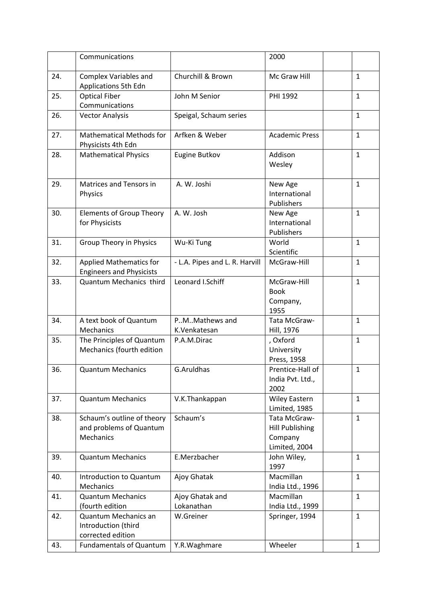|     | Communications                                                     |                                | 2000                                                               |              |
|-----|--------------------------------------------------------------------|--------------------------------|--------------------------------------------------------------------|--------------|
| 24. | <b>Complex Variables and</b><br>Applications 5th Edn               | Churchill & Brown              | Mc Graw Hill                                                       | $\mathbf{1}$ |
| 25. | <b>Optical Fiber</b><br>Communications                             | John M Senior                  | PHI 1992                                                           | $\mathbf{1}$ |
| 26. | <b>Vector Analysis</b>                                             | Speigal, Schaum series         |                                                                    | $\mathbf{1}$ |
| 27. | <b>Mathematical Methods for</b><br>Physicists 4th Edn              | Arfken & Weber                 | <b>Academic Press</b>                                              | $\mathbf{1}$ |
| 28. | <b>Mathematical Physics</b>                                        | Eugine Butkov                  | Addison<br>Wesley                                                  | $\mathbf{1}$ |
| 29. | Matrices and Tensors in<br>Physics                                 | A. W. Joshi                    | New Age<br>International<br>Publishers                             | $\mathbf{1}$ |
| 30. | <b>Elements of Group Theory</b><br>for Physicists                  | A. W. Josh                     | New Age<br>International<br>Publishers                             | $\mathbf{1}$ |
| 31. | Group Theory in Physics                                            | Wu-Ki Tung                     | World<br>Scientific                                                | $\mathbf{1}$ |
| 32. | <b>Applied Mathematics for</b><br><b>Engineers and Physicists</b>  | - L.A. Pipes and L. R. Harvill | McGraw-Hill                                                        | $\mathbf{1}$ |
| 33. | Quantum Mechanics third                                            | Leonard I.Schiff               | McGraw-Hill<br><b>Book</b><br>Company,<br>1955                     | $\mathbf{1}$ |
| 34. | A text book of Quantum<br>Mechanics                                | PMMathews and<br>K.Venkatesan  | Tata McGraw-<br>Hill, 1976                                         | $\mathbf{1}$ |
| 35. | The Principles of Quantum<br>Mechanics (fourth edition             | P.A.M.Dirac                    | , Oxford<br>University<br>Press, 1958                              | $\mathbf{1}$ |
| 36. | <b>Quantum Mechanics</b>                                           | G.Aruldhas                     | Prentice-Hall of<br>India Pvt. Ltd.,<br>2002                       | $\mathbf{1}$ |
| 37. | <b>Quantum Mechanics</b>                                           | V.K.Thankappan                 | <b>Wiley Eastern</b><br>Limited, 1985                              | $\mathbf{1}$ |
| 38. | Schaum's outline of theory<br>and problems of Quantum<br>Mechanics | Schaum's                       | Tata McGraw-<br><b>Hill Publishing</b><br>Company<br>Limited, 2004 | $\mathbf{1}$ |
| 39. | <b>Quantum Mechanics</b>                                           | E.Merzbacher                   | John Wiley,<br>1997                                                | $\mathbf{1}$ |
| 40. | Introduction to Quantum<br>Mechanics                               | Ajoy Ghatak                    | Macmillan<br>India Ltd., 1996                                      | $\mathbf{1}$ |
| 41. | <b>Quantum Mechanics</b><br>(fourth edition                        | Ajoy Ghatak and<br>Lokanathan  | Macmillan<br>India Ltd., 1999                                      | $\mathbf{1}$ |
| 42. | Quantum Mechanics an<br>Introduction (third<br>corrected edition   | W.Greiner                      | Springer, 1994                                                     | $\mathbf{1}$ |
| 43. | <b>Fundamentals of Quantum</b>                                     | Y.R.Waghmare                   | Wheeler                                                            | $\mathbf{1}$ |